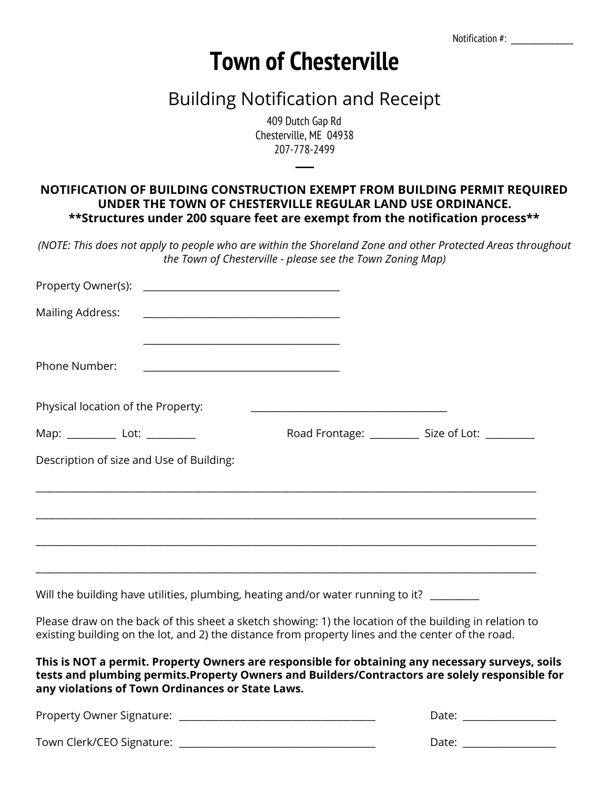Notification #:

## **Town of Chesterville**

## Building Notification and Receipt

409 Dutch Gap Rd Chesterville, ME 04938 207-778-2499

─

## **NOTIFICATION OF BUILDING CONSTRUCTION EXEMPT FROM BUILDING PERMIT REQUIRED UNDER THE TOWN OF CHESTERVILLE REGULAR LAND USE ORDINANCE. \*\*Structures under 200 square feet are exempt from the notification process\*\***

(NOTE: This does not apply to people who are within the Shoreland Zone and other Protected Areas throughout *the Town of Chesterville - please see the Town Zoning Map)*

| Property Owner(s):                                                                                                                                                                                                                                      |                                                                                                                                                                     |                                                    |
|---------------------------------------------------------------------------------------------------------------------------------------------------------------------------------------------------------------------------------------------------------|---------------------------------------------------------------------------------------------------------------------------------------------------------------------|----------------------------------------------------|
| Mailing Address:                                                                                                                                                                                                                                        | <u> 1989 - Johann John Harry Hermann (d. 1989)</u>                                                                                                                  |                                                    |
| Phone Number:                                                                                                                                                                                                                                           |                                                                                                                                                                     |                                                    |
| Physical location of the Property:                                                                                                                                                                                                                      | <u> 2002 - Johann John Stein, mars an deus Frankrik (f. 18</u>                                                                                                      |                                                    |
| Map: ___________ Lot: __________                                                                                                                                                                                                                        |                                                                                                                                                                     | Road Frontage: ____________ Size of Lot: _________ |
| Description of size and Use of Building:                                                                                                                                                                                                                |                                                                                                                                                                     |                                                    |
|                                                                                                                                                                                                                                                         |                                                                                                                                                                     |                                                    |
|                                                                                                                                                                                                                                                         |                                                                                                                                                                     |                                                    |
|                                                                                                                                                                                                                                                         | ,我们也不能在这里的时候,我们也不能会在这里,我们也不能会在这里,我们也不能会在这里,我们也不能会在这里的时候,我们也不能会在这里,我们也不能会不能会不能会。<br>第2012章 我们的时候,我们的时候,我们的时候,我们的时候,我们的时候,我们的时候,我们的时候,我们的时候,我们的时候,我们的时候,我们的时候,我们的时候,我 |                                                    |
| Will the building have utilities, plumbing, heating and/or water running to it? _______                                                                                                                                                                 |                                                                                                                                                                     |                                                    |
| Please draw on the back of this sheet a sketch showing: 1) the location of the building in relation to<br>existing building on the lot, and 2) the distance from property lines and the center of the road.                                             |                                                                                                                                                                     |                                                    |
| This is NOT a permit. Property Owners are responsible for obtaining any necessary surveys, soils<br>tests and plumbing permits. Property Owners and Builders/Contractors are solely responsible for<br>any violations of Town Ordinances or State Laws. |                                                                                                                                                                     |                                                    |
|                                                                                                                                                                                                                                                         |                                                                                                                                                                     | Date: _________________                            |
| Town Clerk/CEO Signature:                                                                                                                                                                                                                               | <u> 1989 - Johann Barbara, margaret eta idazlea (h. 1989).</u>                                                                                                      | Date: __________________                           |